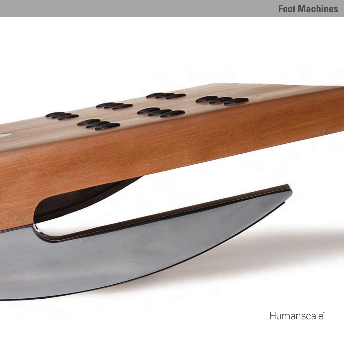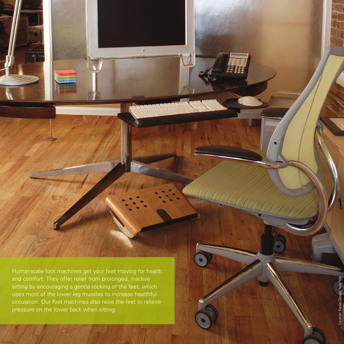Humanscale foot machines get your feet moving for health and comfort. They offer relief from prolonged, inactive sitting by encouraging a gentle rocking of the feet, which circulation. Our foot machines also raise the feet to relieve

T

<u>GAAMANA HAMA</u>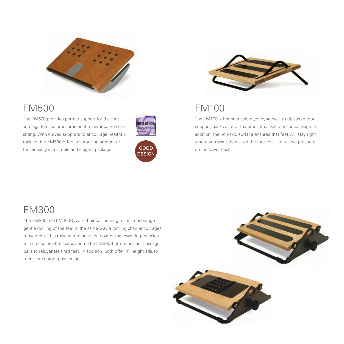

## FM500

The FM500 provides perfect support for the feet and legs to ease pressures on the lower back when sitting. With curved supports to encourage healthful rocking, the FM500 offers a surprising amount of functionality in a simple and elegant package.







### FM100

The FM100, offering a stable yet dynamically adjustable foot support, packs a lot of features into a value-priced package. In addition, the non-skid surface ensures that feet will stay right where you want them—on the foot rest—to relieve pressure on the lower back.

# FM300

The FM300 and FM300B, with their ball bearing rollers, encourage gentle rocking of the feet in the same way a rocking chair encourages movement. This rocking motion uses most of the lower leg muscles to increase healthful circulation. The FM300B offers built-in massage balls to rejuvenate tired feet. In addition, both offer 3" height adjustment for custom positioning.

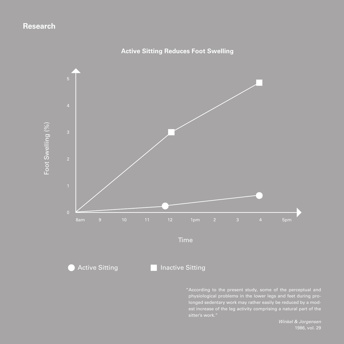### **Research**



**Active Sitting Reduces Foot Swelling**

physiological problems in the lower legs and feet during prositter's work."

*Winkel & Jorgensen*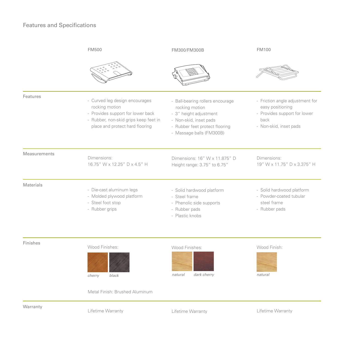

Lifetime Warranty

Lifetime Warranty

Lifetime Warranty